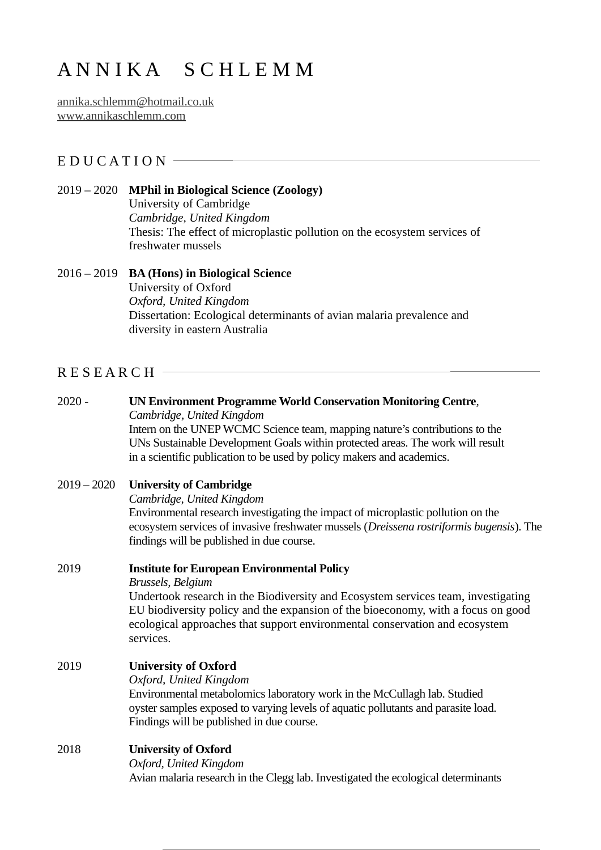# A N N I K A S C H L E M M

[annika.schlemm@hotmail.co.uk](mailto:annika.schlemm@hotmail.co.uk) [www.annikaschlemm.com](https://www.annikaschlemm.com/)

## E D U C A T I O N  $-$

#### 2019 – 2020 **MPhil in Biological Science (Zoology)**

University of Cambridge *Cambridge, United Kingdom* Thesis: The effect of microplastic pollution on the ecosystem services of freshwater mussels

## 2016 – 2019 **BA (Hons) in Biological Science** University of Oxford *Oxford, United Kingdom*

Dissertation: Ecological determinants of avian malaria prevalence and diversity in eastern Australia

## $R$  E S E A R C H  $-$

#### 2020 - **UN Environment Programme World Conservation Monitoring Centre**, *Cambridge, United Kingdom*

Intern on the UNEP WCMC Science team, mapping nature's contributions to the UNs Sustainable Development Goals within protected areas. The work will result in a scientific publication to be used by policy makers and academics.

#### 2019 – 2020 **University of Cambridge**

*Cambridge, United Kingdom*

Environmental research investigating the impact of microplastic pollution on the ecosystem services of invasive freshwater mussels (*Dreissena rostriformis bugensis*). The findings will be published in due course.

## 2019 **Institute for European Environmental Policy**

*Brussels, Belgium*

Undertook research in the Biodiversity and Ecosystem services team, investigating EU biodiversity policy and the expansion of the bioeconomy, with a focus on good ecological approaches that support environmental conservation and ecosystem services.

## 2019 **University of Oxford**

*Oxford, United Kingdom*

Environmental metabolomics laboratory work in the McCullagh lab. Studied oyster samples exposed to varying levels of aquatic pollutants and parasite load. Findings will be published in due course.

## 2018 **University of Oxford**

*Oxford, United Kingdom*

Avian malaria research in the Clegg lab. Investigated the ecological determinants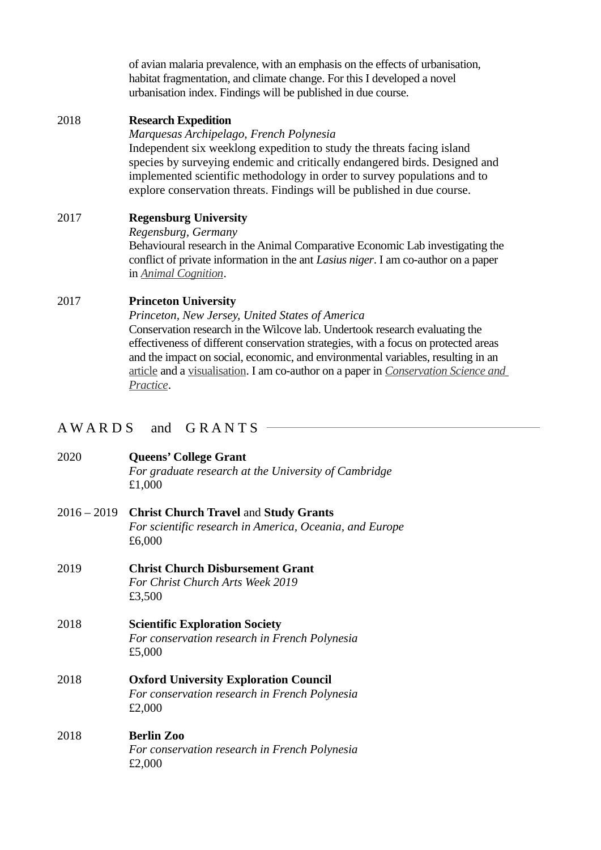of avian malaria prevalence, with an emphasis on the effects of urbanisation, habitat fragmentation, and climate change. For this I developed a novel urbanisation index. Findings will be published in due course.

#### 2018 **Research Expedition**

*Marquesas Archipelago, French Polynesia* Independent six weeklong expedition to study the threats facing island species by surveying endemic and critically endangered birds. Designed and implemented scientific methodology in order to survey populations and to explore conservation threats. Findings will be published in due course.

## 2017 **Regensburg University**

*Regensburg, Germany*

Behavioural research in the Animal Comparative Economic Lab investigating the conflict of private information in the ant *Lasius niger*. I am co-author on a paper in *[Animal Cognition](https://link.springer.com/article/10.1007%2Fs10071-019-01248-3)*.

#### 2017 **Princeton University**

*Princeton, New Jersey, United States of America* Conservation research in the Wilcove lab. Undertook research evaluating the effectiveness of different conservation strategies, with a focus on protected areas and the impact on social, economic, and environmental variables, resulting in an article and a visualisation. I am co-author on a paper in *[Conservation Science and](https://conbio.onlinelibrary.wiley.com/doi/full/10.1111/csp2.28) [Practice](https://conbio.onlinelibrary.wiley.com/doi/full/10.1111/csp2.28)*.

## A W A R D S and G R A N T S -

| 2020          | Queens' College Grant<br>For graduate research at the University of Cambridge<br>£1,000                           |
|---------------|-------------------------------------------------------------------------------------------------------------------|
| $2016 - 2019$ | <b>Christ Church Travel and Study Grants</b><br>For scientific research in America, Oceania, and Europe<br>£6,000 |
| 2019          | <b>Christ Church Disbursement Grant</b><br>For Christ Church Arts Week 2019<br>£3,500                             |
| 2018          | <b>Scientific Exploration Society</b><br>For conservation research in French Polynesia<br>£5,000                  |
| 2018          | <b>Oxford University Exploration Council</b><br>For conservation research in French Polynesia<br>£2,000           |
| 2018          | <b>Berlin Zoo</b><br>For conservation research in French Polynesia<br>£2,000                                      |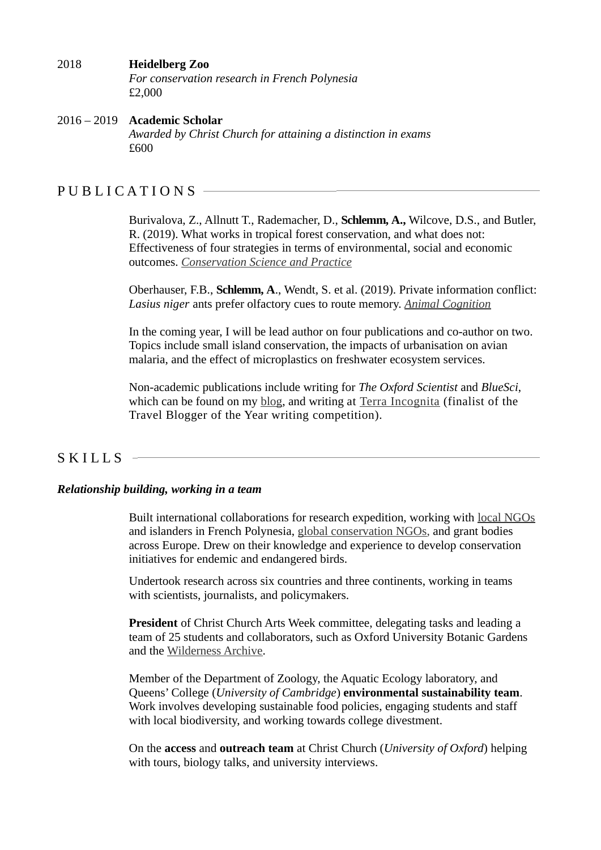#### 2018 **Heidelberg Zoo** *For conservation research in French Polynesia* £2,000

#### 2016 – 2019 **Academic Scholar** *Awarded by Christ Church for attaining a distinction in exams* £600

## PUBLICATIONS -

Burivalova, Z., Allnutt T., Rademacher, D., **Schlemm, A.,** Wilcove, D.S., and Butler, R. (2019). What works in tropical forest conservation, and what does not: Effectiveness of four strategies in terms of environmental, social and economic outcomes. *Conservation Science and Practice*

Oberhauser, F.B., **Schlemm, A**., Wendt, S. et al. (2019). Private information conflict: *Lasius niger* ants prefer olfactory cues to route memory. *Animal Cognition*

In the coming year, I will be lead author on four publications and co-author on two. Topics include small island conservation, the impacts of urbanisation on avian malaria, and the effect of microplastics on freshwater ecosystem services.

Non-academic publications include writing for *The Oxford Scientist* and *BlueSci*, which can be found on my [blog,](https://www.annikaschlemm.com/blog) and writing at [Terra Incognita](https://www.terra-incognita.travel/2019/tale-of-the-last-lorikeet) (finalist of the Travel Blogger of the Year writing competition).

# **SKILLS**

## *Relationship building, working in a team*

Built international collaborations for research expedition, working with [local NGOs](https://manu.pf/) and islanders in French Polynesia, [global conservation NGOs](https://www.birdlife.org/), and grant bodies across Europe. Drew on their knowledge and experience to develop conservation initiatives for endemic and endangered birds.

Undertook research across six countries and three continents, working in teams with scientists, journalists, and policymakers.

**President** of Christ Church Arts Week committee, delegating tasks and leading a team of 25 students and collaborators, such as Oxford University Botanic Gardens and the [Wilderness Archive](http://wildernessarchive.org/).

Member of the Department of Zoology, the Aquatic Ecology laboratory, and Queens' College (*University of Cambridge*) **environmental sustainability team**. Work involves developing sustainable food policies, engaging students and staff with local biodiversity, and working towards college divestment.

On the **access** and **outreach team** at Christ Church (*University of Oxford*) helping with tours, biology talks, and university interviews.